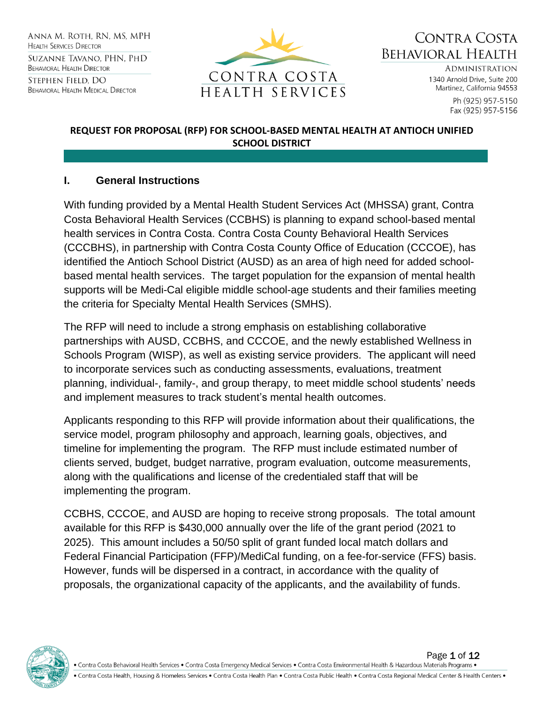ANNA M. ROTH. RN. MS. MPH **HEALTH SERVICES DIRECTOR** Suzanne Tavano, PHN, PHD **BEHAVIORAL HEALTH DIRECTOR** STEPHEN FIELD. DO **BEHAVIORAL HEALTH MEDICAL DIRECTOR** 



CONTRA COSTA Behavioral Health

> **ADMINISTRATION** 1340 Arnold Drive, Suite 200 Martinez, California 94553

> > Ph (925) 957-5150 Fax (925) 957-5156

#### **REQUEST FOR PROPOSAL (RFP) FOR SCHOOL-BASED MENTAL HEALTH AT ANTIOCH UNIFIED SCHOOL DISTRICT**

#### **I. General Instructions**

With funding provided by a Mental Health Student Services Act (MHSSA) grant, Contra Costa Behavioral Health Services (CCBHS) is planning to expand school-based mental health services in Contra Costa. Contra Costa County Behavioral Health Services (CCCBHS), in partnership with Contra Costa County Office of Education (CCCOE), has identified the Antioch School District (AUSD) as an area of high need for added schoolbased mental health services. The target population for the expansion of mental health supports will be Medi-Cal eligible middle school-age students and their families meeting the criteria for Specialty Mental Health Services (SMHS).

The RFP will need to include a strong emphasis on establishing collaborative partnerships with AUSD, CCBHS, and CCCOE, and the newly established Wellness in Schools Program (WISP), as well as existing service providers. The applicant will need to incorporate services such as conducting assessments, evaluations, treatment planning, individual-, family-, and group therapy, to meet middle school students' needs and implement measures to track student's mental health outcomes.

Applicants responding to this RFP will provide information about their qualifications, the service model, program philosophy and approach, learning goals, objectives, and timeline for implementing the program. The RFP must include estimated number of clients served, budget, budget narrative, program evaluation, outcome measurements, along with the qualifications and license of the credentialed staff that will be implementing the program.

CCBHS, CCCOE, and AUSD are hoping to receive strong proposals. The total amount available for this RFP is \$430,000 annually over the life of the grant period (2021 to 2025). This amount includes a 50/50 split of grant funded local match dollars and Federal Financial Participation (FFP)/MediCal funding, on a fee-for-service (FFS) basis. However, funds will be dispersed in a contract, in accordance with the quality of proposals, the organizational capacity of the applicants, and the availability of funds.

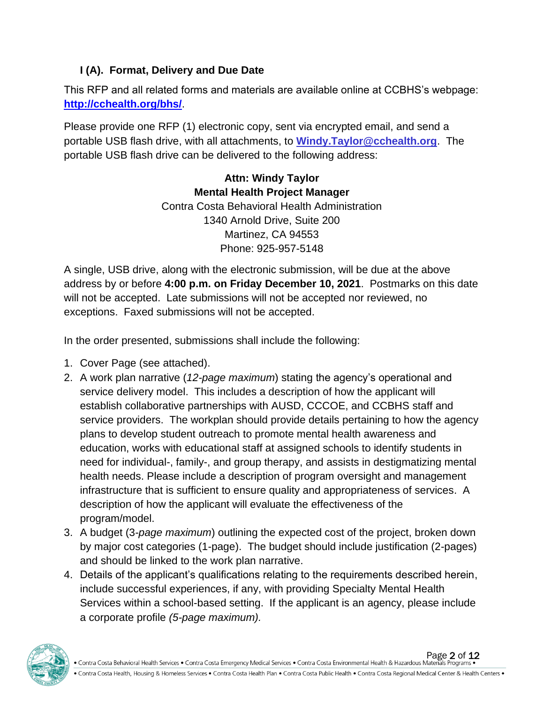### **I (A). Format, Delivery and Due Date**

This RFP and all related forms and materials are available online at CCBHS's webpage: **<http://cchealth.org/bhs/>**.

Please provide one RFP (1) electronic copy, sent via encrypted email, and send a portable USB flash drive, with all attachments, to **[Windy.Taylor@cchealth.org](mailto:Windy.Taylor@cchealth.org)**. The portable USB flash drive can be delivered to the following address:

> **Attn: Windy Taylor Mental Health Project Manager** Contra Costa Behavioral Health Administration 1340 Arnold Drive, Suite 200 Martinez, CA 94553 Phone: 925-957-5148

A single, USB drive, along with the electronic submission, will be due at the above address by or before **4:00 p.m. on Friday December 10, 2021**. Postmarks on this date will not be accepted. Late submissions will not be accepted nor reviewed, no exceptions. Faxed submissions will not be accepted.

In the order presented, submissions shall include the following:

- 1. Cover Page (see attached).
- 2. A work plan narrative (*12-page maximum*) stating the agency's operational and service delivery model. This includes a description of how the applicant will establish collaborative partnerships with AUSD, CCCOE, and CCBHS staff and service providers. The workplan should provide details pertaining to how the agency plans to develop student outreach to promote mental health awareness and education, works with educational staff at assigned schools to identify students in need for individual-, family-, and group therapy, and assists in destigmatizing mental health needs. Please include a description of program oversight and management infrastructure that is sufficient to ensure quality and appropriateness of services. A description of how the applicant will evaluate the effectiveness of the program/model.
- 3. A budget (3*-page maximum*) outlining the expected cost of the project, broken down by major cost categories (1-page). The budget should include justification (2-pages) and should be linked to the work plan narrative.
- 4. Details of the applicant's qualifications relating to the requirements described herein, include successful experiences, if any, with providing Specialty Mental Health Services within a school-based setting. If the applicant is an agency, please include a corporate profile *(5-page maximum).*

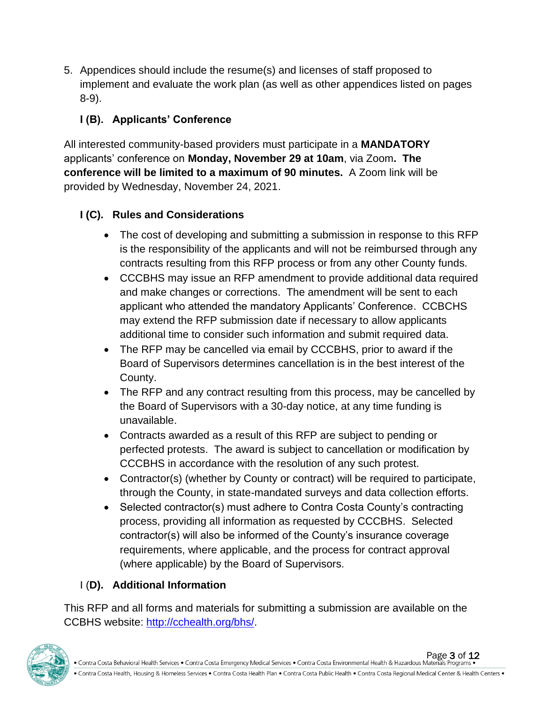5. Appendices should include the resume(s) and licenses of staff proposed to implement and evaluate the work plan (as well as other appendices listed on pages 8-9).

# **I (B). Applicants' Conference**

All interested community-based providers must participate in a **MANDATORY** applicants' conference on **Monday, November 29 at 10am**, via Zoom**. The conference will be limited to a maximum of 90 minutes.** A Zoom link will be provided by Wednesday, November 24, 2021.

## **I (C). Rules and Considerations**

- The cost of developing and submitting a submission in response to this RFP is the responsibility of the applicants and will not be reimbursed through any contracts resulting from this RFP process or from any other County funds.
- CCCBHS may issue an RFP amendment to provide additional data required and make changes or corrections. The amendment will be sent to each applicant who attended the mandatory Applicants' Conference. CCBCHS may extend the RFP submission date if necessary to allow applicants additional time to consider such information and submit required data.
- The RFP may be cancelled via email by CCCBHS, prior to award if the Board of Supervisors determines cancellation is in the best interest of the County.
- The RFP and any contract resulting from this process, may be cancelled by the Board of Supervisors with a 30-day notice, at any time funding is unavailable.
- Contracts awarded as a result of this RFP are subject to pending or perfected protests. The award is subject to cancellation or modification by CCCBHS in accordance with the resolution of any such protest.
- Contractor(s) (whether by County or contract) will be required to participate, through the County, in state-mandated surveys and data collection efforts.
- Selected contractor(s) must adhere to Contra Costa County's contracting process, providing all information as requested by CCCBHS. Selected contractor(s) will also be informed of the County's insurance coverage requirements, where applicable, and the process for contract approval (where applicable) by the Board of Supervisors.

# I (**D). Additional Information**

This RFP and all forms and materials for submitting a submission are available on the CCBHS website: [http://cchealth.org/bhs/.](http://cchealth.org/bhs/)

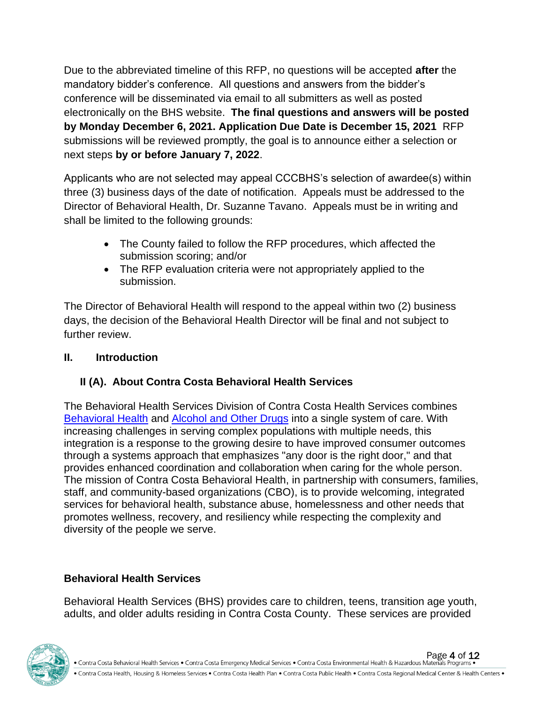Due to the abbreviated timeline of this RFP, no questions will be accepted **after** the mandatory bidder's conference. All questions and answers from the bidder's conference will be disseminated via email to all submitters as well as posted electronically on the BHS website. **The final questions and answers will be posted by Monday December 6, 2021. Application Due Date is December 15, 2021** RFP submissions will be reviewed promptly, the goal is to announce either a selection or next steps **by or before January 7, 2022**.

Applicants who are not selected may appeal CCCBHS's selection of awardee(s) within three (3) business days of the date of notification. Appeals must be addressed to the Director of Behavioral Health, Dr. Suzanne Tavano. Appeals must be in writing and shall be limited to the following grounds:

- The County failed to follow the RFP procedures, which affected the submission scoring; and/or
- The RFP evaluation criteria were not appropriately applied to the submission.

The Director of Behavioral Health will respond to the appeal within two (2) business days, the decision of the Behavioral Health Director will be final and not subject to further review.

#### **II. Introduction**

## **II (A). About Contra Costa Behavioral Health Services**

The Behavioral Health Services Division of Contra Costa Health Services combines [Behavioral](http://cchealth.org/services/mental_health/) Health and [Alcohol and Other Drugs](http://cchealth.org/groups/alcohol_and_drugs/) into a single system of care. With increasing challenges in serving complex populations with multiple needs, this integration is a response to the growing desire to have improved consumer outcomes through a systems approach that emphasizes "any door is the right door," and that provides enhanced coordination and collaboration when caring for the whole person. The mission of Contra Costa Behavioral Health, in partnership with consumers, families, staff, and community-based organizations (CBO), is to provide welcoming, integrated services for behavioral health, substance abuse, homelessness and other needs that promotes wellness, recovery, and resiliency while respecting the complexity and diversity of the people we serve.

## **Behavioral Health Services**

Behavioral Health Services (BHS) provides care to children, teens, transition age youth, adults, and older adults residing in Contra Costa County. These services are provided

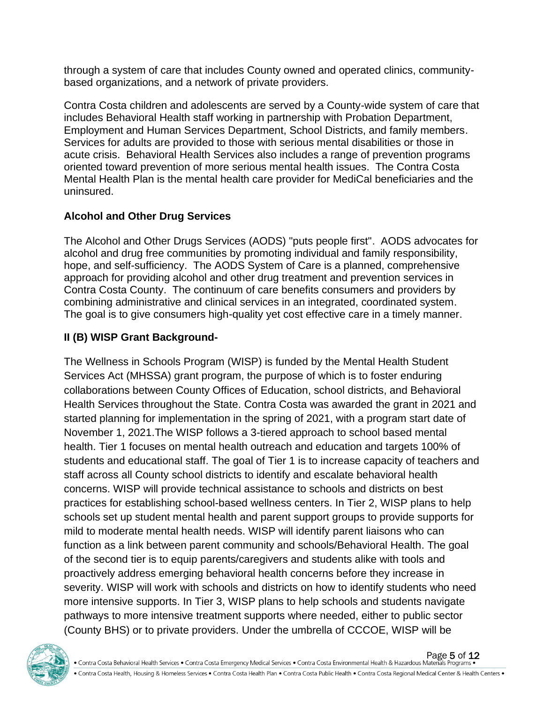through a system of care that includes County owned and operated clinics, communitybased organizations, and a network of private providers.

Contra Costa children and adolescents are served by a County-wide system of care that includes Behavioral Health staff working in partnership with Probation Department, Employment and Human Services Department, School Districts, and family members. Services for adults are provided to those with serious mental disabilities or those in acute crisis. Behavioral Health Services also includes a range of prevention programs oriented toward prevention of more serious mental health issues. The Contra Costa Mental Health Plan is the mental health care provider for MediCal beneficiaries and the uninsured.

#### **Alcohol and Other Drug Services**

The Alcohol and Other Drugs Services (AODS) "puts people first". AODS advocates for alcohol and drug free communities by promoting individual and family responsibility, hope, and self-sufficiency. The AODS System of Care is a planned, comprehensive approach for providing alcohol and other drug treatment and prevention services in Contra Costa County. The continuum of care benefits consumers and providers by combining administrative and clinical services in an integrated, coordinated system. The goal is to give consumers high-quality yet cost effective care in a timely manner.

# **II (B) WISP Grant Background-**

The Wellness in Schools Program (WISP) is funded by the Mental Health Student Services Act (MHSSA) grant program, the purpose of which is to foster enduring collaborations between County Offices of Education, school districts, and Behavioral Health Services throughout the State. Contra Costa was awarded the grant in 2021 and started planning for implementation in the spring of 2021, with a program start date of November 1, 2021.The WISP follows a 3-tiered approach to school based mental health. Tier 1 focuses on mental health outreach and education and targets 100% of students and educational staff. The goal of Tier 1 is to increase capacity of teachers and staff across all County school districts to identify and escalate behavioral health concerns. WISP will provide technical assistance to schools and districts on best practices for establishing school-based wellness centers. In Tier 2, WISP plans to help schools set up student mental health and parent support groups to provide supports for mild to moderate mental health needs. WISP will identify parent liaisons who can function as a link between parent community and schools/Behavioral Health. The goal of the second tier is to equip parents/caregivers and students alike with tools and proactively address emerging behavioral health concerns before they increase in severity. WISP will work with schools and districts on how to identify students who need more intensive supports. In Tier 3, WISP plans to help schools and students navigate pathways to more intensive treatment supports where needed, either to public sector (County BHS) or to private providers. Under the umbrella of CCCOE, WISP will be

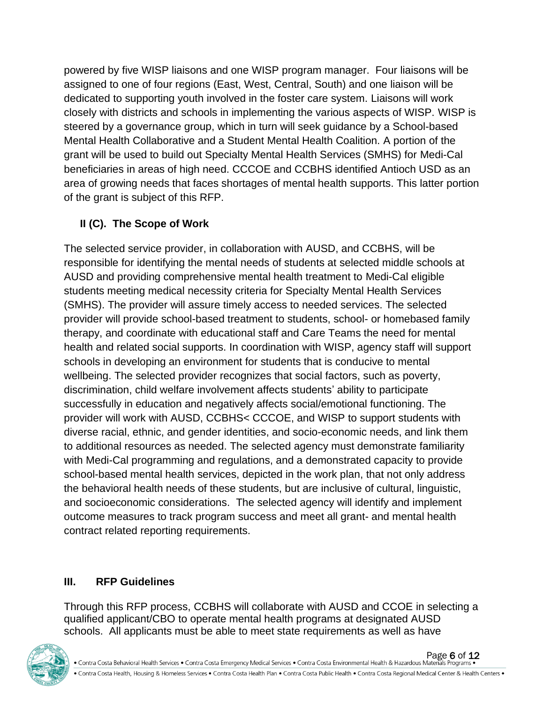powered by five WISP liaisons and one WISP program manager. Four liaisons will be assigned to one of four regions (East, West, Central, South) and one liaison will be dedicated to supporting youth involved in the foster care system. Liaisons will work closely with districts and schools in implementing the various aspects of WISP. WISP is steered by a governance group, which in turn will seek guidance by a School-based Mental Health Collaborative and a Student Mental Health Coalition. A portion of the grant will be used to build out Specialty Mental Health Services (SMHS) for Medi-Cal beneficiaries in areas of high need. CCCOE and CCBHS identified Antioch USD as an area of growing needs that faces shortages of mental health supports. This latter portion of the grant is subject of this RFP.

# **II (C). The Scope of Work**

The selected service provider, in collaboration with AUSD, and CCBHS, will be responsible for identifying the mental needs of students at selected middle schools at AUSD and providing comprehensive mental health treatment to Medi-Cal eligible students meeting medical necessity criteria for Specialty Mental Health Services (SMHS). The provider will assure timely access to needed services. The selected provider will provide school-based treatment to students, school- or homebased family therapy, and coordinate with educational staff and Care Teams the need for mental health and related social supports. In coordination with WISP, agency staff will support schools in developing an environment for students that is conducive to mental wellbeing. The selected provider recognizes that social factors, such as poverty, discrimination, child welfare involvement affects students' ability to participate successfully in education and negatively affects social/emotional functioning. The provider will work with AUSD, CCBHS< CCCOE, and WISP to support students with diverse racial, ethnic, and gender identities, and socio-economic needs, and link them to additional resources as needed. The selected agency must demonstrate familiarity with Medi-Cal programming and regulations, and a demonstrated capacity to provide school-based mental health services, depicted in the work plan, that not only address the behavioral health needs of these students, but are inclusive of cultural, linguistic, and socioeconomic considerations. The selected agency will identify and implement outcome measures to track program success and meet all grant- and mental health contract related reporting requirements.

## **III. RFP Guidelines**

Through this RFP process, CCBHS will collaborate with AUSD and CCOE in selecting a qualified applicant/CBO to operate mental health programs at designated AUSD schools. All applicants must be able to meet state requirements as well as have



. Contra Costa Health, Housing & Homeless Services . Contra Costa Health Plan . Contra Costa Public Health . Contra Costa Regional Medical Center & Health Centers .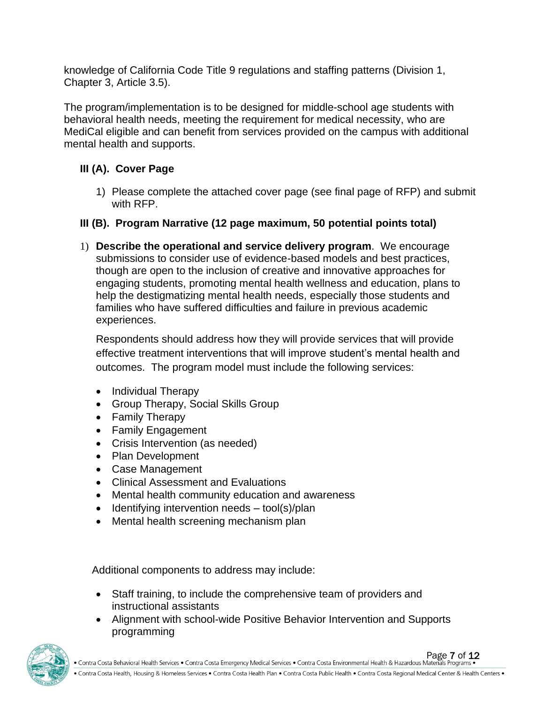knowledge of California Code Title 9 regulations and staffing patterns (Division 1, Chapter 3, Article 3.5).

The program/implementation is to be designed for middle-school age students with behavioral health needs, meeting the requirement for medical necessity, who are MediCal eligible and can benefit from services provided on the campus with additional mental health and supports.

### **III (A). Cover Page**

1) Please complete the attached cover page (see final page of RFP) and submit with RFP.

# **III (B). Program Narrative (12 page maximum, 50 potential points total)**

1) **Describe the operational and service delivery program**. We encourage submissions to consider use of evidence-based models and best practices, though are open to the inclusion of creative and innovative approaches for engaging students, promoting mental health wellness and education, plans to help the destigmatizing mental health needs, especially those students and families who have suffered difficulties and failure in previous academic experiences.

Respondents should address how they will provide services that will provide effective treatment interventions that will improve student's mental health and outcomes. The program model must include the following services:

- Individual Therapy
- Group Therapy, Social Skills Group
- Family Therapy
- Family Engagement
- Crisis Intervention (as needed)
- Plan Development
- Case Management
- Clinical Assessment and Evaluations
- Mental health community education and awareness
- Identifying intervention needs tool(s)/plan
- Mental health screening mechanism plan

Additional components to address may include:

- Staff training, to include the comprehensive team of providers and instructional assistants
- Alignment with school-wide Positive Behavior Intervention and Supports programming



Page 7 of 12<br>● Contra Costa Behavioral Health Services ● Contra Costa Emergency Medical Services ● Contra Costa Environmental Health & Hazardous Materials Programs ●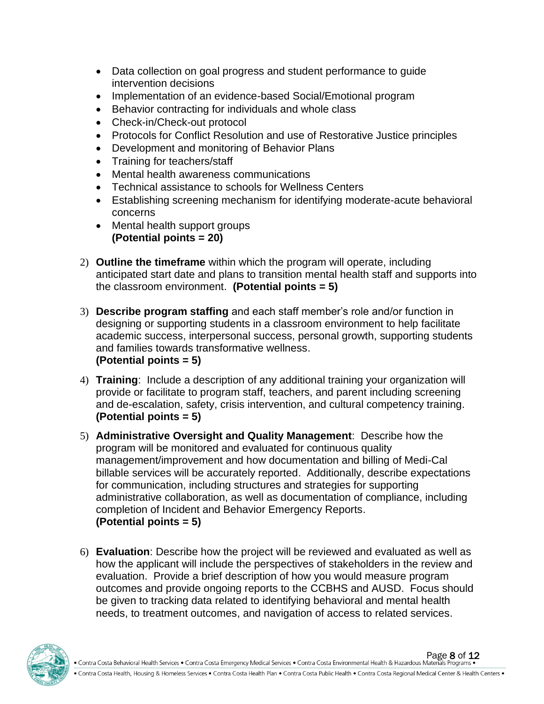- Data collection on goal progress and student performance to guide intervention decisions
- Implementation of an evidence-based Social/Emotional program
- Behavior contracting for individuals and whole class
- Check-in/Check-out protocol
- Protocols for Conflict Resolution and use of Restorative Justice principles
- Development and monitoring of Behavior Plans
- Training for teachers/staff
- Mental health awareness communications
- Technical assistance to schools for Wellness Centers
- Establishing screening mechanism for identifying moderate-acute behavioral concerns
- Mental health support groups **(Potential points = 20)**
- 2) **Outline the timeframe** within which the program will operate, including anticipated start date and plans to transition mental health staff and supports into the classroom environment. **(Potential points = 5)**
- 3) **Describe program staffing** and each staff member's role and/or function in designing or supporting students in a classroom environment to help facilitate academic success, interpersonal success, personal growth, supporting students and families towards transformative wellness. **(Potential points = 5)**
- 4) **Training**: Include a description of any additional training your organization will provide or facilitate to program staff, teachers, and parent including screening and de-escalation, safety, crisis intervention, and cultural competency training. **(Potential points = 5)**
- 5) **Administrative Oversight and Quality Management**: Describe how the program will be monitored and evaluated for continuous quality management/improvement and how documentation and billing of Medi-Cal billable services will be accurately reported. Additionally, describe expectations for communication, including structures and strategies for supporting administrative collaboration, as well as documentation of compliance, including completion of Incident and Behavior Emergency Reports. **(Potential points = 5)**
- 6) **Evaluation**: Describe how the project will be reviewed and evaluated as well as how the applicant will include the perspectives of stakeholders in the review and evaluation. Provide a brief description of how you would measure program outcomes and provide ongoing reports to the CCBHS and AUSD. Focus should be given to tracking data related to identifying behavioral and mental health needs, to treatment outcomes, and navigation of access to related services.

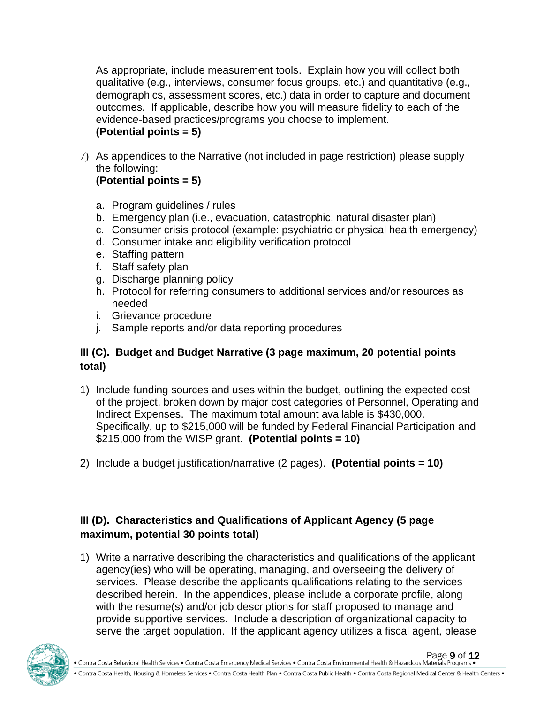As appropriate, include measurement tools. Explain how you will collect both qualitative (e.g., interviews, consumer focus groups, etc.) and quantitative (e.g., demographics, assessment scores, etc.) data in order to capture and document outcomes. If applicable, describe how you will measure fidelity to each of the evidence-based practices/programs you choose to implement. **(Potential points = 5)**

7) As appendices to the Narrative (not included in page restriction) please supply the following:

### **(Potential points = 5)**

- a. Program guidelines / rules
- b. Emergency plan (i.e., evacuation, catastrophic, natural disaster plan)
- c. Consumer crisis protocol (example: psychiatric or physical health emergency)
- d. Consumer intake and eligibility verification protocol
- e. Staffing pattern
- f. Staff safety plan
- g. Discharge planning policy
- h. Protocol for referring consumers to additional services and/or resources as needed
- i. Grievance procedure
- j. Sample reports and/or data reporting procedures

#### **III (C). Budget and Budget Narrative (3 page maximum, 20 potential points total)**

- 1) Include funding sources and uses within the budget, outlining the expected cost of the project, broken down by major cost categories of Personnel, Operating and Indirect Expenses. The maximum total amount available is \$430,000. Specifically, up to \$215,000 will be funded by Federal Financial Participation and \$215,000 from the WISP grant. **(Potential points = 10)**
- 2) Include a budget justification/narrative (2 pages). **(Potential points = 10)**

### **III (D). Characteristics and Qualifications of Applicant Agency (5 page maximum, potential 30 points total)**

1) Write a narrative describing the characteristics and qualifications of the applicant agency(ies) who will be operating, managing, and overseeing the delivery of services. Please describe the applicants qualifications relating to the services described herein. In the appendices, please include a corporate profile, along with the resume(s) and/or job descriptions for staff proposed to manage and provide supportive services. Include a description of organizational capacity to serve the target population. If the applicant agency utilizes a fiscal agent, please

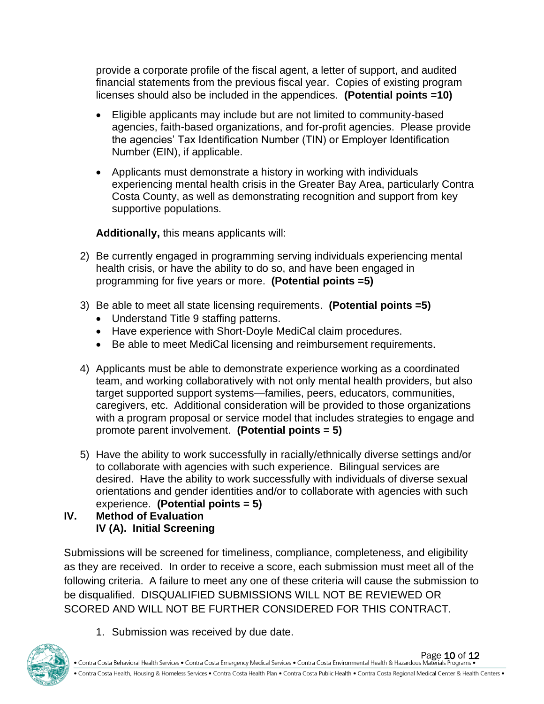provide a corporate profile of the fiscal agent, a letter of support, and audited financial statements from the previous fiscal year. Copies of existing program licenses should also be included in the appendices. **(Potential points =10)**

- Eligible applicants may include but are not limited to community-based agencies, faith-based organizations, and for-profit agencies. Please provide the agencies' Tax Identification Number (TIN) or Employer Identification Number (EIN), if applicable.
- Applicants must demonstrate a history in working with individuals experiencing mental health crisis in the Greater Bay Area, particularly Contra Costa County, as well as demonstrating recognition and support from key supportive populations.

**Additionally,** this means applicants will:

- 2) Be currently engaged in programming serving individuals experiencing mental health crisis, or have the ability to do so, and have been engaged in programming for five years or more. **(Potential points =5)**
- 3) Be able to meet all state licensing requirements. **(Potential points =5)**
	- Understand Title 9 staffing patterns.
	- Have experience with Short-Doyle MediCal claim procedures.
	- Be able to meet MediCal licensing and reimbursement requirements.
- 4) Applicants must be able to demonstrate experience working as a coordinated team, and working collaboratively with not only mental health providers, but also target supported support systems—families, peers, educators, communities, caregivers, etc. Additional consideration will be provided to those organizations with a program proposal or service model that includes strategies to engage and promote parent involvement. **(Potential points = 5)**
- 5) Have the ability to work successfully in racially/ethnically diverse settings and/or to collaborate with agencies with such experience. Bilingual services are desired. Have the ability to work successfully with individuals of diverse sexual orientations and gender identities and/or to collaborate with agencies with such experience. **(Potential points = 5)**
- **IV. Method of Evaluation IV (A). Initial Screening**

Submissions will be screened for timeliness, compliance, completeness, and eligibility as they are received. In order to receive a score, each submission must meet all of the following criteria. A failure to meet any one of these criteria will cause the submission to be disqualified. DISQUALIFIED SUBMISSIONS WILL NOT BE REVIEWED OR SCORED AND WILL NOT BE FURTHER CONSIDERED FOR THIS CONTRACT.

1. Submission was received by due date.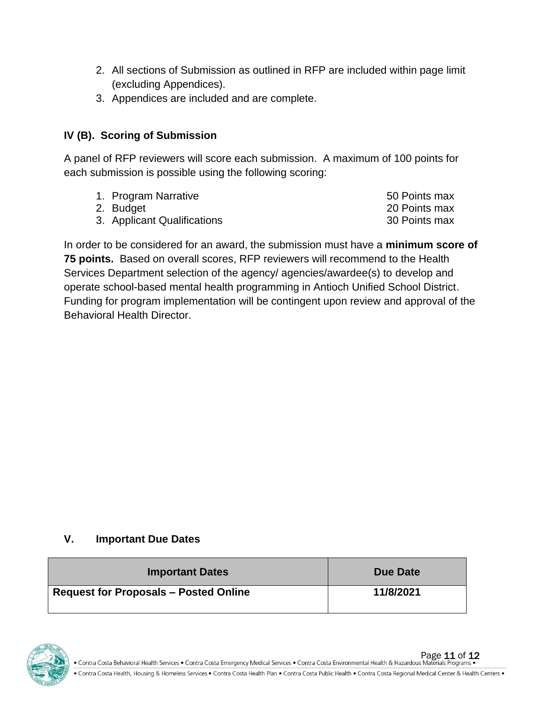- 2. All sections of Submission as outlined in RFP are included within page limit (excluding Appendices).
- 3. Appendices are included and are complete.

#### **IV (B). Scoring of Submission**

A panel of RFP reviewers will score each submission. A maximum of 100 points for each submission is possible using the following scoring:

- 1. Program Narrative **1. According to the Solution Contract Contract Contract Contract Contract Contract Contract Contract Contract Contract Contract Contract Contract Contract Contract Contract Contract Contract Contract**
- 
- 3. Applicant Qualifications 30 Points max
- 2. Budget 20 Points max

In order to be considered for an award, the submission must have a **minimum score of 75 points.** Based on overall scores, RFP reviewers will recommend to the Health Services Department selection of the agency/ agencies/awardee(s) to develop and operate school-based mental health programming in Antioch Unified School District. Funding for program implementation will be contingent upon review and approval of the Behavioral Health Director.

#### **V. Important Due Dates**

| <b>Important Dates</b>                       | Due Date  |
|----------------------------------------------|-----------|
| <b>Request for Proposals - Posted Online</b> | 11/8/2021 |